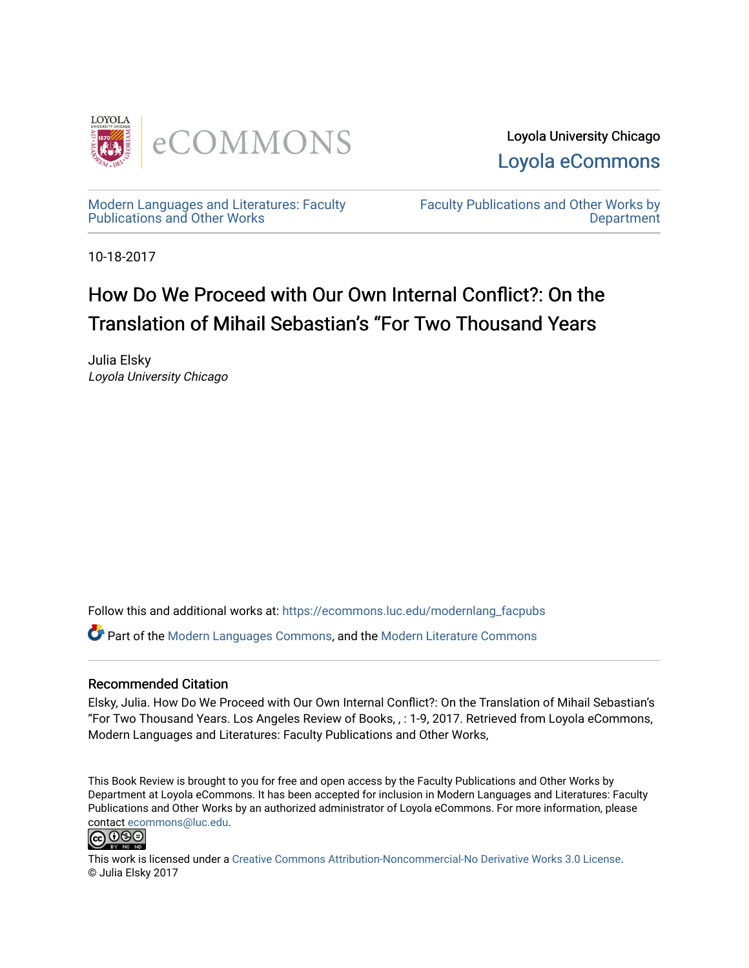

Loyola University Chicago [Loyola eCommons](https://ecommons.luc.edu/) 

[Modern Languages and Literatures: Faculty](https://ecommons.luc.edu/modernlang_facpubs)  [Publications and Other Works](https://ecommons.luc.edu/modernlang_facpubs) 

[Faculty Publications and Other Works by](https://ecommons.luc.edu/faculty)  **Department** 

10-18-2017

## How Do We Proceed with Our Own Internal Conflict?: On the Translation of Mihail Sebastian's "For Two Thousand Years

Julia Elsky Loyola University Chicago

Follow this and additional works at: [https://ecommons.luc.edu/modernlang\\_facpubs](https://ecommons.luc.edu/modernlang_facpubs?utm_source=ecommons.luc.edu%2Fmodernlang_facpubs%2F27&utm_medium=PDF&utm_campaign=PDFCoverPages)

Part of the [Modern Languages Commons,](http://network.bepress.com/hgg/discipline/1130?utm_source=ecommons.luc.edu%2Fmodernlang_facpubs%2F27&utm_medium=PDF&utm_campaign=PDFCoverPages) and the [Modern Literature Commons](http://network.bepress.com/hgg/discipline/1050?utm_source=ecommons.luc.edu%2Fmodernlang_facpubs%2F27&utm_medium=PDF&utm_campaign=PDFCoverPages)

#### Recommended Citation

Elsky, Julia. How Do We Proceed with Our Own Internal Conflict?: On the Translation of Mihail Sebastian's "For Two Thousand Years. Los Angeles Review of Books, , : 1-9, 2017. Retrieved from Loyola eCommons, Modern Languages and Literatures: Faculty Publications and Other Works,

This Book Review is brought to you for free and open access by the Faculty Publications and Other Works by Department at Loyola eCommons. It has been accepted for inclusion in Modern Languages and Literatures: Faculty Publications and Other Works by an authorized administrator of Loyola eCommons. For more information, please contact [ecommons@luc.edu.](mailto:ecommons@luc.edu)



This work is licensed under a [Creative Commons Attribution-Noncommercial-No Derivative Works 3.0 License.](https://creativecommons.org/licenses/by-nc-nd/3.0/) © Julia Elsky 2017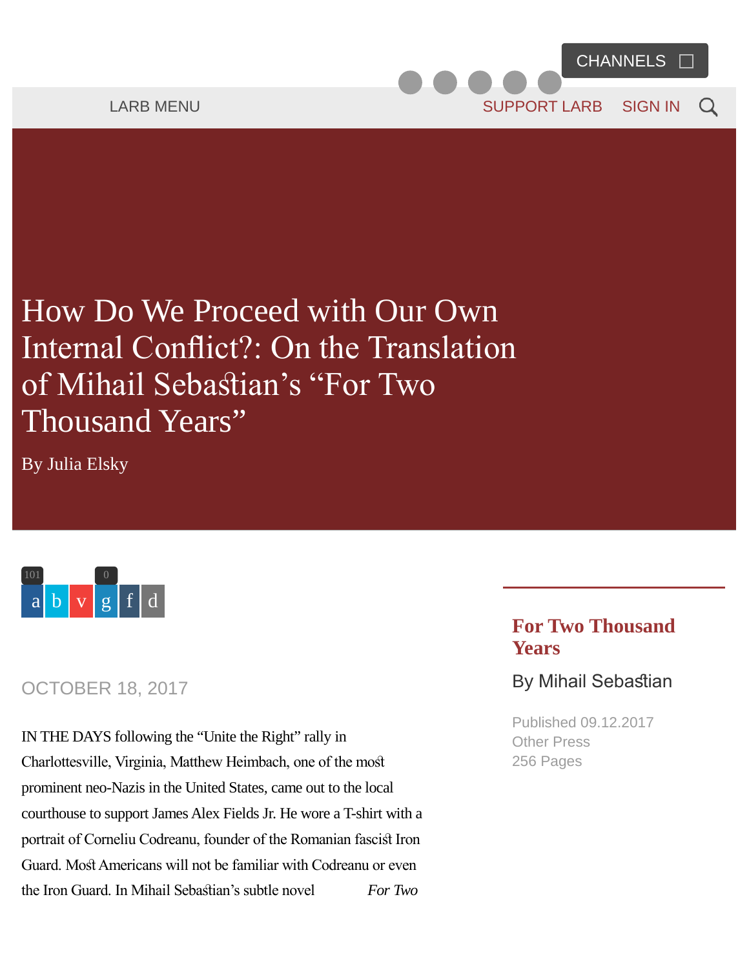# <span id="page-1-0"></span>How Do We Proceed with Our Own Internal Confict?: On the Translation of Mihail Sebasian's "For Two Thousand Years"

By [Julia Elsky](https://lareviewofbooks.org/contributor/julia-elsky)



#### OCTOBER 18, 2017

IN THE DAYS following the "Unite the Right" rally in Charlottesville, Virginia, Matthew Heimbach, one of the mos prominent neo-Nazis in the United States, came out to the local courthouse to support James Alex Fields Jr. He wore a T-shirt with a portrait of Corneliu Codreanu, founder of the Romanian fascist Iron Guard. Most Americans will not be familiar with Codreanu or even the Iron Guard. In Mihail Sebasian's subtle novel *For Two*

#### **For Two Thousand Years**

#### By Mihail Sebastian

Published 09.12.2017 Other Press 256 Pages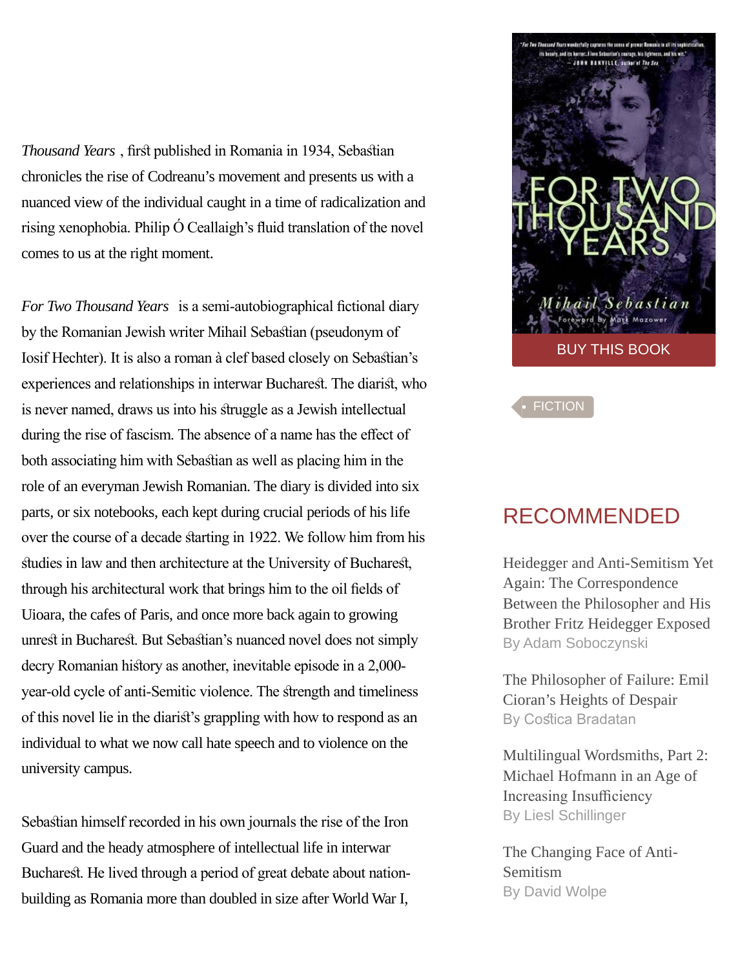*Thousand Years*, first published in Romania in 1934, Sebastian chronicles the rise of Codreanu's movement and presents us with a nuanced view of the individual caught in a time of radicalization and rising xenophobia. Philip Ó Ceallaigh's fuid translation of the novel comes to us at the right moment.

*For Two Thousand Years* is a semi-autobiographical fictional diary by the Romanian Jewish writer Mihail Sebasian (pseudonym of Iosif Hechter). It is also a roman à clef based closely on Sebasian's experiences and relationships in interwar Bucharest. The diarist, who is never named, draws us into his struggle as a Jewish intellectual during the rise of fascism. The absence of a name has the effect of both associating him with Sebasian as well as placing him in the role of an everyman Jewish Romanian. The diary is divided into six parts, or six notebooks, each kept during crucial periods of his life over the course of a decade starting in 1922. We follow him from his studies in law and then architecture at the University of Bucharest, through his architectural work that brings him to the oil felds of Uioara, the cafes of Paris, and once more back again to growing unrest in Bucharest. But Sebastian's nuanced novel does not simply decry Romanian history as another, inevitable episode in a 2,000year-old cycle of anti-Semitic violence. The srength and timeliness of this novel lie in the diaris's grappling with how to respond as an individual to what we now call hate speech and to violence on the university campus.

Sebastian himself recorded in his own journals the rise of the Iron Guard and the heady atmosphere of intellectual life in interwar Bucharest. He lived through a period of great debate about nationbuilding as Romania more than doubled in size after World War I,



**[FICTION](https://lareviewofbooks.org/sections/fiction/)** 

### RECOMMENDED

[Heidegger and Anti-Semitism Yet](https://lareviewofbooks.org/article/heidegger-anti-semitism-yet-correspondence-philosopher-brother-fritz-heidegger-exposed) [Again: The Correspondence](https://lareviewofbooks.org/article/heidegger-anti-semitism-yet-correspondence-philosopher-brother-fritz-heidegger-exposed) [Between the Philosopher and His](https://lareviewofbooks.org/article/heidegger-anti-semitism-yet-correspondence-philosopher-brother-fritz-heidegger-exposed) [Brother Fritz Heidegger Exposed](https://lareviewofbooks.org/article/heidegger-anti-semitism-yet-correspondence-philosopher-brother-fritz-heidegger-exposed) [By Adam Soboczynski](https://lareviewofbooks.org/contributor/adam-soboczynski)

[The Philosopher of Failure: Emil](https://lareviewofbooks.org/article/philosopher-failure-emil-ciorans-heights-despair) [Cioran's Heights of Despair](https://lareviewofbooks.org/article/philosopher-failure-emil-ciorans-heights-despair) By Costica Bradatan

[Multilingual Wordsmiths, Part 2:](https://lareviewofbooks.org/article/multilingual-wordsmiths-part-2-michael-hofmann-age-increasing-insufficiency) [Michael Hofmann in an Age of](https://lareviewofbooks.org/article/multilingual-wordsmiths-part-2-michael-hofmann-age-increasing-insufficiency) Increasing Insufficiency [By Liesl Schillinger](https://lareviewofbooks.org/contributor/liesl-schillinger)

[The Changing Face of Anti-](https://lareviewofbooks.org/article/changing-face-antisemitism)[Semitism](https://lareviewofbooks.org/article/changing-face-antisemitism) [By David Wolpe](https://lareviewofbooks.org/contributor/david-wolpe)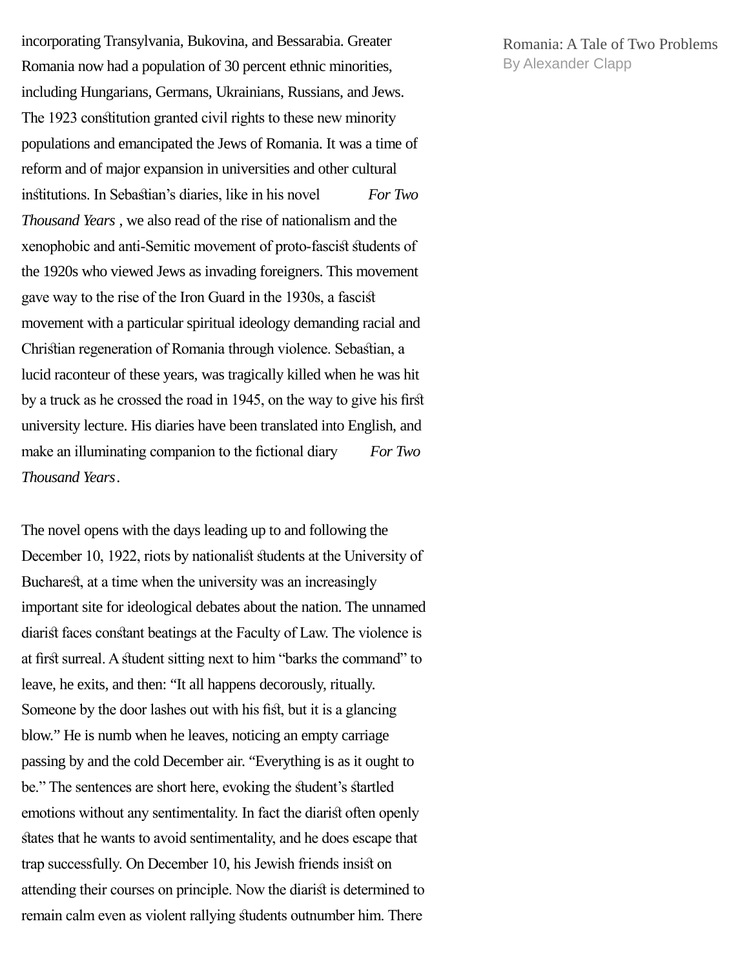incorporating Transylvania, Bukovina, and Bessarabia. Greater Romania now had a population of 30 percent ethnic minorities, including Hungarians, Germans, Ukrainians, Russians, and Jews. The 1923 consitution granted civil rights to these new minority populations and emancipated the Jews of Romania. It was a time of reform and of major expansion in universities and other cultural insitutions. In Sebasian's diaries, like in his novel *For Two Thousand Years* , we also read of the rise of nationalism and the xenophobic and anti-Semitic movement of proto-fascist students of the 1920s who viewed Jews as invading foreigners. This movement gave way to the rise of the Iron Guard in the 1930s, a fascis movement with a particular spiritual ideology demanding racial and Chrisian regeneration of Romania through violence. Sebasian, a lucid raconteur of these years, was tragically killed when he was hit by a truck as he crossed the road in 1945, on the way to give his frs university lecture. His diaries have been translated into English, and make an illuminating companion to the fictional diary *For Two Thousand Years*.

The novel opens with the days leading up to and following the December 10, 1922, riots by nationalist students at the University of Bucharest, at a time when the university was an increasingly important site for ideological debates about the nation. The unnamed diarist faces constant beatings at the Faculty of Law. The violence is at first surreal. A student sitting next to him "barks the command" to leave, he exits, and then: "It all happens decorously, ritually. Someone by the door lashes out with his fist, but it is a glancing blow." He is numb when he leaves, noticing an empty carriage passing by and the cold December air. "Everything is as it ought to be." The sentences are short here, evoking the student's startled emotions without any sentimentality. In fact the diarist often openly states that he wants to avoid sentimentality, and he does escape that trap successfully. On December 10, his Jewish friends insist on attending their courses on principle. Now the diarist is determined to remain calm even as violent rallying sudents outnumber him. There

[Romania: A Tale of Two Problems](https://lareviewofbooks.org/article/tale-two-problems) [By Alexander Clapp](https://lareviewofbooks.org/contributor/alexander-clapp)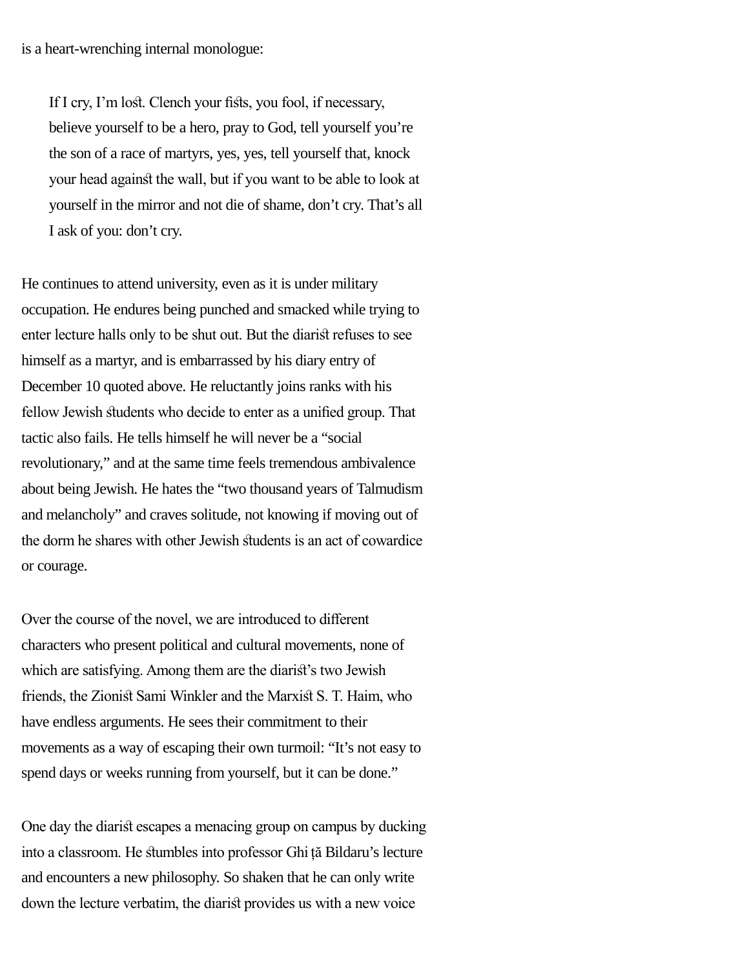If I cry, I'm lost. Clench your fists, you fool, if necessary, believe yourself to be a hero, pray to God, tell yourself you're the son of a race of martyrs, yes, yes, tell yourself that, knock your head against the wall, but if you want to be able to look at yourself in the mirror and not die of shame, don't cry. That's all I ask of you: don't cry.

He continues to attend university, even as it is under military occupation. He endures being punched and smacked while trying to enter lecture halls only to be shut out. But the diarist refuses to see himself as a martyr, and is embarrassed by his diary entry of December 10 quoted above. He reluctantly joins ranks with his fellow Jewish students who decide to enter as a unified group. That tactic also fails. He tells himself he will never be a "social revolutionary," and at the same time feels tremendous ambivalence about being Jewish. He hates the "two thousand years of Talmudism and melancholy" and craves solitude, not knowing if moving out of the dorm he shares with other Jewish sudents is an act of cowardice or courage.

Over the course of the novel, we are introduced to diferent characters who present political and cultural movements, none of which are satisfying. Among them are the diarist's two Jewish friends, the Zionist Sami Winkler and the Marxist S. T. Haim, who have endless arguments. He sees their commitment to their movements as a way of escaping their own turmoil: "It's not easy to spend days or weeks running from yourself, but it can be done."

One day the diarist escapes a menacing group on campus by ducking into a classroom. He sumbles into professor Ghi ță Bildaru's lecture and encounters a new philosophy. So shaken that he can only write down the lecture verbatim, the diarist provides us with a new voice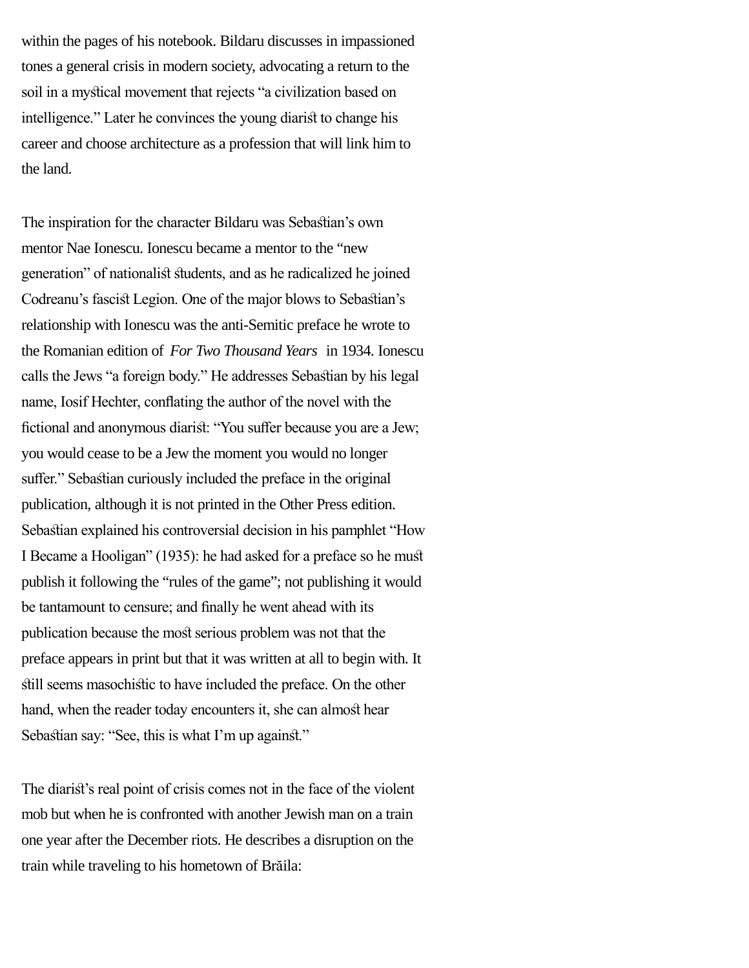within the pages of his notebook. Bildaru discusses in impassioned tones a general crisis in modern society, advocating a return to the soil in a mysical movement that rejects "a civilization based on intelligence." Later he convinces the young diarist to change his career and choose architecture as a profession that will link him to the land.

The inspiration for the character Bildaru was Sebasian's own mentor Nae Ionescu. Ionescu became a mentor to the "new generation" of nationalist students, and as he radicalized he joined Codreanu's fascist Legion. One of the major blows to Sebastian's relationship with Ionescu was the anti-Semitic preface he wrote to the Romanian edition of *For Two Thousand Years* in 1934. Ionescu calls the Jews "a foreign body." He addresses Sebasian by his legal name, Iosif Hechter, confating the author of the novel with the fictional and anonymous diarist: "You suffer because you are a Jew; you would cease to be a Jew the moment you would no longer suffer." Sebastian curiously included the preface in the original publication, although it is not printed in the Other Press edition. Sebasian explained his controversial decision in his pamphlet "How I Became a Hooligan" (1935): he had asked for a preface so he mus publish it following the "rules of the game"; not publishing it would be tantamount to censure; and fnally he went ahead with its publication because the most serious problem was not that the preface appears in print but that it was written at all to begin with. It still seems masochistic to have included the preface. On the other hand, when the reader today encounters it, she can almost hear Sebastian say: "See, this is what I'm up against."

The diarist's real point of crisis comes not in the face of the violent mob but when he is confronted with another Jewish man on a train one year after the December riots. He describes a disruption on the train while traveling to his hometown of Brăila: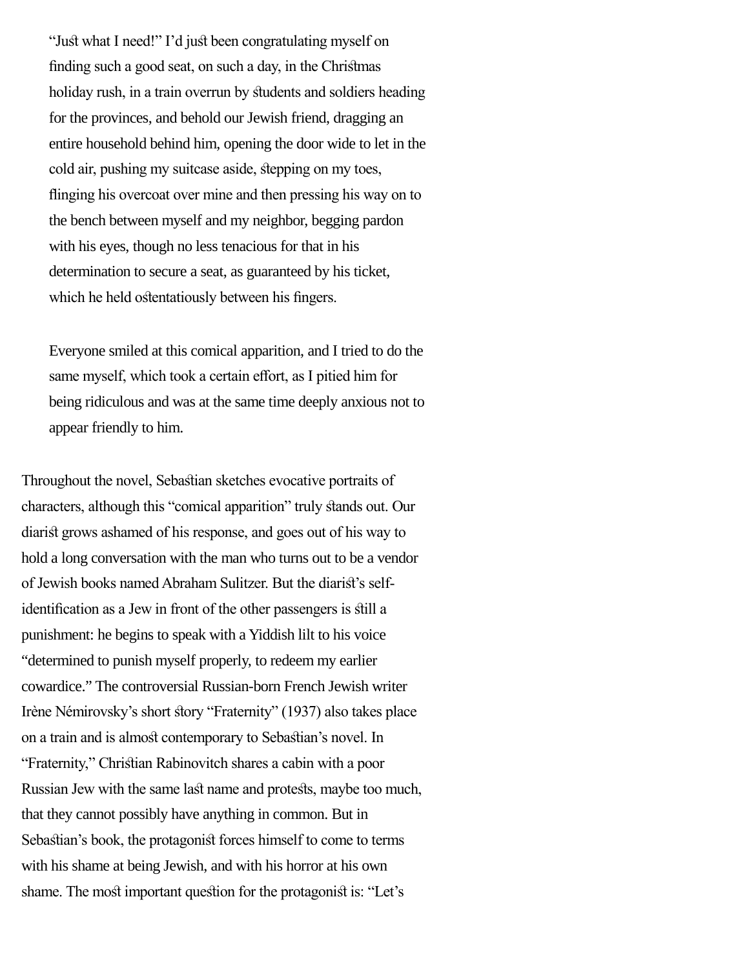"Just what I need!" I'd just been congratulating myself on fnding such a good seat, on such a day, in the Chrismas holiday rush, in a train overrun by students and soldiers heading for the provinces, and behold our Jewish friend, dragging an entire household behind him, opening the door wide to let in the cold air, pushing my suitcase aside, stepping on my toes, finging his overcoat over mine and then pressing his way on to the bench between myself and my neighbor, begging pardon with his eyes, though no less tenacious for that in his determination to secure a seat, as guaranteed by his ticket, which he held ostentatiously between his fingers.

Everyone smiled at this comical apparition, and I tried to do the same myself, which took a certain effort, as I pitied him for being ridiculous and was at the same time deeply anxious not to appear friendly to him.

Throughout the novel, Sebasian sketches evocative portraits of characters, although this "comical apparition" truly stands out. Our diarist grows ashamed of his response, and goes out of his way to hold a long conversation with the man who turns out to be a vendor of Jewish books named Abraham Sulitzer. But the diaris's selfidentifcation as a Jew in front of the other passengers is sill a punishment: he begins to speak with a Yiddish lilt to his voice "determined to punish myself properly, to redeem my earlier cowardice." The controversial Russian-born French Jewish writer Irène Némirovsky's short story "Fraternity" (1937) also takes place on a train and is almost contemporary to Sebastian's novel. In "Fraternity," Chrisian Rabinovitch shares a cabin with a poor Russian Jew with the same last name and protests, maybe too much, that they cannot possibly have anything in common. But in Sebastian's book, the protagonist forces himself to come to terms with his shame at being Jewish, and with his horror at his own shame. The most important question for the protagonist is: "Let's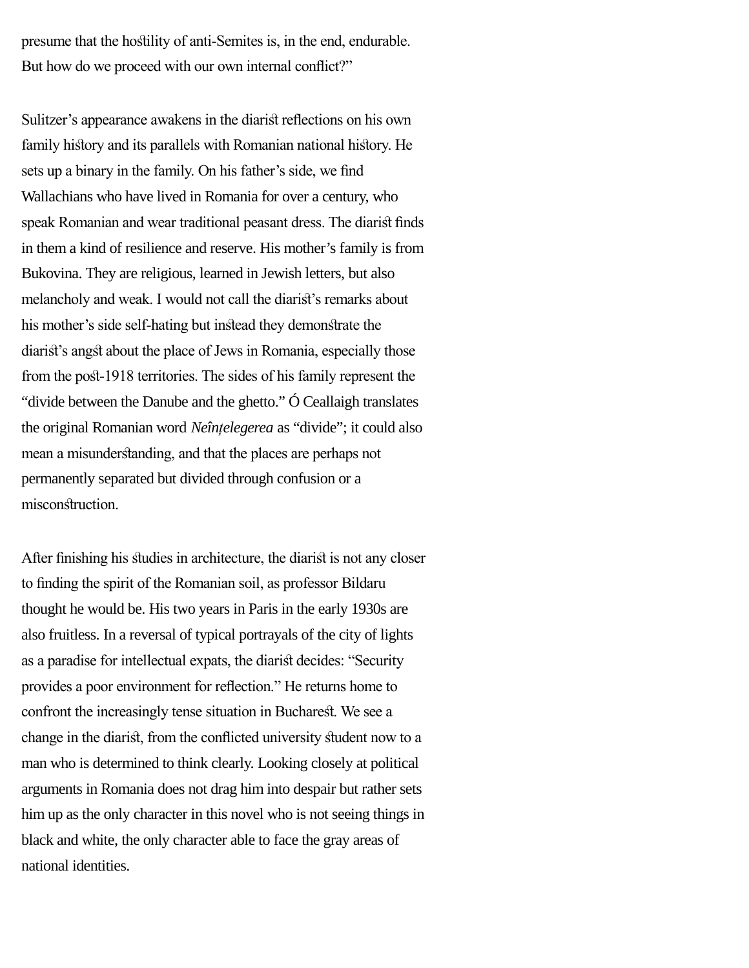presume that the hosility of anti-Semites is, in the end, endurable. But how do we proceed with our own internal conflict?"

Sulitzer's appearance awakens in the diarist reflections on his own family history and its parallels with Romanian national history. He sets up a binary in the family. On his father's side, we fnd Wallachians who have lived in Romania for over a century, who speak Romanian and wear traditional peasant dress. The diarist finds in them a kind of resilience and reserve. His mother's family is from Bukovina. They are religious, learned in Jewish letters, but also melancholy and weak. I would not call the diaris's remarks about his mother's side self-hating but instead they demonstrate the diarist's angst about the place of Jews in Romania, especially those from the post-1918 territories. The sides of his family represent the "divide between the Danube and the ghetto." Ó Ceallaigh translates the original Romanian word *Neînțelegerea* as "divide"; it could also mean a misunderstanding, and that the places are perhaps not permanently separated but divided through confusion or a misconstruction.

After finishing his studies in architecture, the diarist is not any closer to fnding the spirit of the Romanian soil, as professor Bildaru thought he would be. His two years in Paris in the early 1930s are also fruitless. In a reversal of typical portrayals of the city of lights as a paradise for intellectual expats, the diarist decides: "Security provides a poor environment for refection." He returns home to confront the increasingly tense situation in Bucharest. We see a change in the diaris, from the conficted university sudent now to a man who is determined to think clearly. Looking closely at political arguments in Romania does not drag him into despair but rather sets him up as the only character in this novel who is not seeing things in black and white, the only character able to face the gray areas of national identities.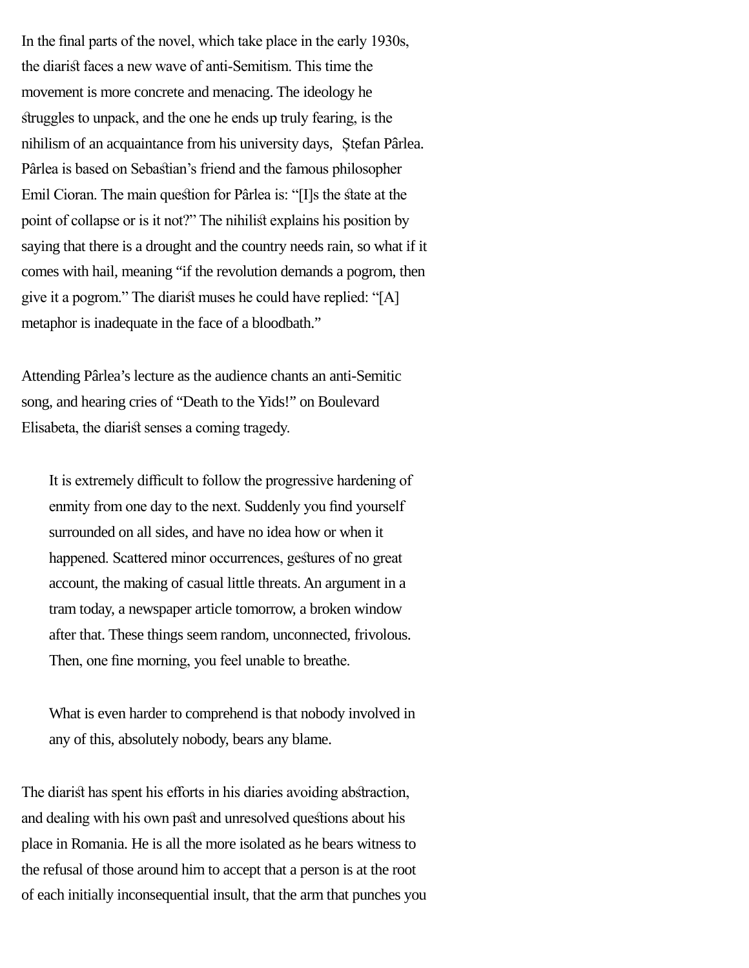In the fnal parts of the novel, which take place in the early 1930s, the diarist faces a new wave of anti-Semitism. This time the movement is more concrete and menacing. The ideology he struggles to unpack, and the one he ends up truly fearing, is the nihilism of an acquaintance from his university days, Ștefan Pârlea. Pârlea is based on Sebasian's friend and the famous philosopher Emil Cioran. The main question for Pârlea is: "[I]s the state at the point of collapse or is it not?" The nihilist explains his position by saying that there is a drought and the country needs rain, so what if it comes with hail, meaning "if the revolution demands a pogrom, then give it a pogrom." The diarist muses he could have replied: " $[A]$ metaphor is inadequate in the face of a bloodbath."

Attending Pârlea's lecture as the audience chants an anti-Semitic song, and hearing cries of "Death to the Yids!" on Boulevard Elisabeta, the diarist senses a coming tragedy.

It is extremely difficult to follow the progressive hardening of enmity from one day to the next. Suddenly you find yourself surrounded on all sides, and have no idea how or when it happened. Scattered minor occurrences, gestures of no great account, the making of casual little threats. An argument in a tram today, a newspaper article tomorrow, a broken window after that. These things seem random, unconnected, frivolous. Then, one fne morning, you feel unable to breathe.

What is even harder to comprehend is that nobody involved in any of this, absolutely nobody, bears any blame.

The diarist has spent his efforts in his diaries avoiding abstraction, and dealing with his own past and unresolved questions about his place in Romania. He is all the more isolated as he bears witness to the refusal of those around him to accept that a person is at the root of each initially inconsequential insult, that the arm that punches you